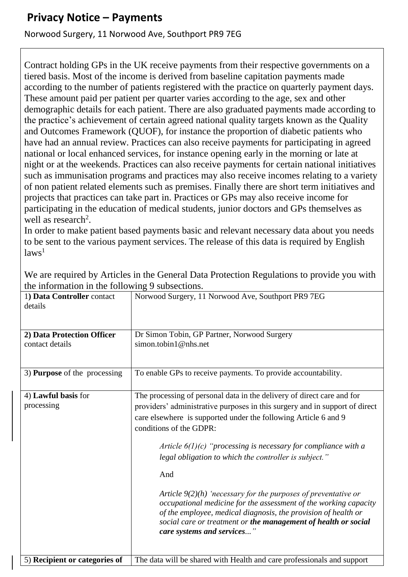## **Privacy Notice – Payments**

## Norwood Surgery, 11 Norwood Ave, Southport PR9 7EG

Contract holding GPs in the UK receive payments from their respective governments on a tiered basis. Most of the income is derived from baseline capitation payments made according to the number of patients registered with the practice on quarterly payment days. These amount paid per patient per quarter varies according to the age, sex and other demographic details for each patient. There are also graduated payments made according to the practice's achievement of certain agreed national quality targets known as the Quality and Outcomes Framework (QUOF), for instance the proportion of diabetic patients who have had an annual review. Practices can also receive payments for participating in agreed national or local enhanced services, for instance opening early in the morning or late at night or at the weekends. Practices can also receive payments for certain national initiatives such as immunisation programs and practices may also receive incomes relating to a variety of non patient related elements such as premises. Finally there are short term initiatives and projects that practices can take part in. Practices or GPs may also receive income for participating in the education of medical students, junior doctors and GPs themselves as well as research<sup>2</sup>.

In order to make patient based payments basic and relevant necessary data about you needs to be sent to the various payment services. The release of this data is required by English  $laws<sup>1</sup>$ 

| 1) Data Controller contact<br>details | Norwood Surgery, 11 Norwood Ave, Southport PR9 7EG                                                                                                                                                                                                                                                     |
|---------------------------------------|--------------------------------------------------------------------------------------------------------------------------------------------------------------------------------------------------------------------------------------------------------------------------------------------------------|
| 2) Data Protection Officer            | Dr Simon Tobin, GP Partner, Norwood Surgery                                                                                                                                                                                                                                                            |
| contact details                       | simon.tobin1@nhs.net                                                                                                                                                                                                                                                                                   |
| 3) <b>Purpose</b> of the processing   | To enable GPs to receive payments. To provide accountability.                                                                                                                                                                                                                                          |
| 4) Lawful basis for                   | The processing of personal data in the delivery of direct care and for                                                                                                                                                                                                                                 |
| processing                            | providers' administrative purposes in this surgery and in support of direct                                                                                                                                                                                                                            |
|                                       | care elsewhere is supported under the following Article 6 and 9<br>conditions of the GDPR:                                                                                                                                                                                                             |
|                                       | Article $6(1)(c)$ "processing is necessary for compliance with a<br>legal obligation to which the controller is subject."                                                                                                                                                                              |
|                                       | And                                                                                                                                                                                                                                                                                                    |
|                                       | Article $9(2)(h)$ 'necessary for the purposes of preventative or<br>occupational medicine for the assessment of the working capacity<br>of the employee, medical diagnosis, the provision of health or<br>social care or treatment or the management of health or social<br>care systems and services" |
| 5) Recipient or categories of         | The data will be shared with Health and care professionals and support                                                                                                                                                                                                                                 |

We are required by Articles in the General Data Protection Regulations to provide you with the information in the following 9 subsections.